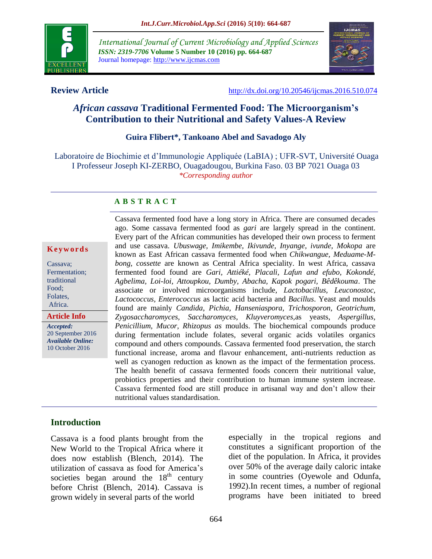

*International Journal of Current Microbiology and Applied Sciences ISSN: 2319-7706* **Volume 5 Number 10 (2016) pp. 664-687** Journal homepage: http://www.ijcmas.com



**Review Article** <http://dx.doi.org/10.20546/ijcmas.2016.510.074>

## *African cassava* **Traditional Fermented Food: The Microorganism's Contribution to their Nutritional and Safety Values-A Review**

#### **Guira Flibert\*, Tankoano Abel and Savadogo Aly**

Laboratoire de Biochimie et d'Immunologie Appliquée (LaBIA) ; UFR-SVT, Université Ouaga I Professeur Joseph KI-ZERBO, Ouagadougou, Burkina Faso. 03 BP 7021 Ouaga 03 *\*Corresponding author*

#### **A B S T R A C T**

#### **K e y w o r d s**

Cassava; Fermentation; traditional Food; Folates, Africa.

**Article Info**

*Accepted:*  20 September 2016 *Available Online:* 10 October 2016

Cassava fermented food have a long story in Africa. There are consumed decades ago. Some cassava fermented food as *gari* are largely spread in the continent. Every part of the African communities has developed their own process to ferment and use cassava. *Ubuswage, Imikembe, Ikivunde, Inyange, ivunde, Mokopa* are known as East African cassava fermented food when *Chikwangue, Meduame-Mbong, cossette* are known as Central Africa speciality. In west Africa, cassava fermented food found are *Gari, Attiéké, Placali, Lafun and efubo, Kokondé, Agbelima, Loi-loi, Attoupkou, Dumby, Abacha, Kapok pogari, Bêdêkouma*. The associate or involved microorganisms include, *Lactobacillus, Leuconostoc, Lactococcus, Enterococcus* as lactic acid bacteria and *Bacillus*. Yeast and moulds found are mainly *Candida*, *Pichia, Hanseniaspora, Trichosporon, Geotrichum, Zygosaccharomyces, Saccharomyces, Kluyveromyces,*as yeasts, *Aspergillus, Penicillium, Mucor, Rhizopus as* moulds. The biochemical compounds produce during fermentation include folates, several organic acids volatiles organics compound and others compounds. Cassava fermented food preservation, the starch functional increase, aroma and flavour enhancement, anti-nutrients reduction as well as cyanogen reduction as known as the impact of the fermentation process. The health benefit of cassava fermented foods concern their nutritional value, probiotics properties and their contribution to human immune system increase. Cassava fermented food are still produce in artisanal way and don't allow their nutritional values standardisation.

## **Introduction**

Cassava is a food plants brought from the New World to the Tropical Africa where it does now establish (Blench, 2014). The utilization of cassava as food for America's societies began around the  $18<sup>th</sup>$  century before Christ [\(Blench, 2014\)](#page-18-0). Cassava is grown widely in several parts of the world

especially in the tropical regions and constitutes a significant proportion of the diet of the population. In Africa, it provides over 50% of the average daily caloric intake in some countries [\(Oyewole and Odunfa,](#page-22-0)  [1992\)](#page-22-0).In recent times, a number of regional programs have been initiated to breed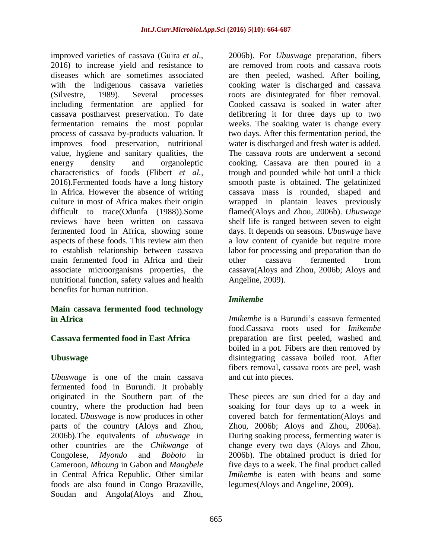improved varieties of cassava [\(Guira](#page-19-0) *et al*., [2016\)](#page-19-0) to increase yield and resistance to diseases which are sometimes associated with the indigenous cassava varieties [\(Silvestre, 1989\)](#page-23-0). Several processes including fermentation are applied for cassava postharvest preservation. To date fermentation remains the most popular process of cassava by-products valuation. It improves food preservation, nutritional value, hygiene and sanitary qualities, the energy density and organoleptic characteristics of foods [\(Flibert](#page-19-1) *et al.,* [2016\)](#page-19-1).Fermented foods have a long history in Africa. However the absence of writing culture in most of Africa makes their origin difficult to trace[\(Odunfa \(1988\)\)](#page-21-0).Some reviews have been written on cassava fermented food in Africa, showing some aspects of these foods. This review aim then to establish relationship between cassava main fermented food in Africa and their associate microorganisms properties, the nutritional function, safety values and health benefits for human nutrition.

## **Main cassava fermented food technology in Africa**

## **Cassava fermented food in East Africa**

## **Ubuswage**

*Ubuswage* is one of the main cassava fermented food in Burundi. It probably originated in the Southern part of the country, where the production had been located. *Ubuswage* is now produces in other parts of the country [\(Aloys and Zhou,](#page-18-1)  [2006b\)](#page-18-1).The equivalents of *ubuswage* in other countries are the *Chikwange* of Congolese, *Myondo* and *Bobolo* in Cameroon, *Mboung* in Gabon and *Mangbele* in Central Africa Republic. Other similar foods are also found in Congo Brazaville, Soudan and Angola[\(Aloys and Zhou,](#page-18-1) 

[2006b\)](#page-18-1). For *Ubuswage* preparation, fibers are removed from roots and cassava roots are then peeled, washed. After boiling, cooking water is discharged and cassava roots are disintegrated for fiber removal. Cooked cassava is soaked in water after defibrering it for three days up to two weeks. The soaking water is change every two days. After this fermentation period, the water is discharged and fresh water is added. The cassava roots are underwent a second cooking. Cassava are then poured in a trough and pounded while hot until a thick smooth paste is obtained. The gelatinized cassava mass is rounded, shaped and wrapped in plantain leaves previously flamed[\(Aloys and Zhou, 2006b\)](#page-18-1). *Ubuswage* shelf life is ranged between seven to eight days. It depends on seasons. *Ubuswage* have a low content of cyanide but require more labor for processing and preparation than do other cassava fermented from cassava[\(Aloys and Zhou, 2006b;](#page-18-1) [Aloys and](#page-17-0)  [Angeline, 2009\)](#page-17-0).

## *Imikembe*

*Imikembe* is a Burundi's cassava fermented food.Cassava roots used for *Imikembe*  preparation are first peeled, washed and boiled in a pot. Fibers are then removed by disintegrating cassava boiled root. After fibers removal, cassava roots are peel, wash and cut into pieces.

These pieces are sun dried for a day and soaking for four days up to a week in covered batch for fermentation[\(Aloys and](#page-18-1)  [Zhou, 2006b;](#page-18-1) [Aloys and Zhou, 2006a\)](#page-17-1). During soaking process, fermenting water is change every two days [\(Aloys and Zhou,](#page-18-1)  [2006b\)](#page-18-1). The obtained product is dried for five days to a week. The final product called *Imikembe* is eaten with beans and some legumes[\(Aloys and Angeline, 2009\)](#page-17-0).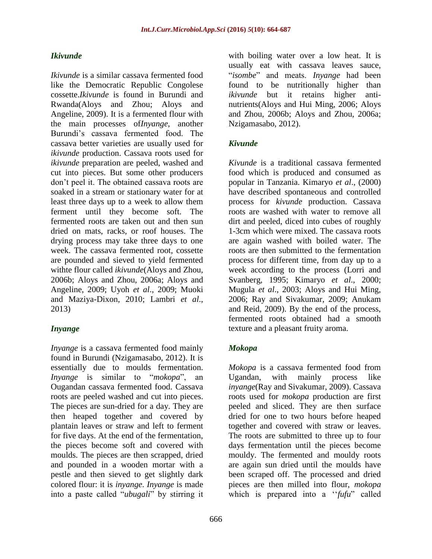## *Ikivunde*

*Ikivunde* is a similar cassava fermented food like the Democratic Republic Congolese cossette.*Ikivunde* is found in Burundi and Rwanda[\(Aloys and Zhou;](#page-18-1) [Aloys and](#page-17-0)  [Angeline, 2009\)](#page-17-0). It is a fermented flour with the main processes of*Inyange*, another Burundi's cassava fermented food. The cassava better varieties are usually used for *ikivunde* production. Cassava roots used for *ikivunde* preparation are peeled, washed and cut into pieces. But some other producers don't peel it. The obtained cassava roots are soaked in a stream or stationary water for at least three days up to a week to allow them ferment until they become soft. The fermented roots are taken out and then sun dried on mats, racks, or roof houses. The drying process may take three days to one week. The cassava fermented root, cossette are pounded and sieved to yield fermented withte flour called *ikivunde*[\(Aloys and Zhou,](#page-18-1)  [2006b;](#page-18-1) [Aloys and Zhou, 2006a;](#page-17-1) [Aloys and](#page-17-0)  [Angeline, 2009;](#page-17-0) Uyoh *et al*[., 2009;](#page-23-1) [Muoki](#page-21-1)  [and Maziya-Dixon, 2010;](#page-21-1) [Lambri](#page-20-0) *et al*., [2013\)](#page-20-0)

## *Inyange*

*Inyange* is a cassava fermented food mainly found in Burundi [\(Nzigamasabo, 2012\)](#page-21-2). It is essentially due to moulds fermentation. *Inyange* is similar to "*mokopa*", an Ougandan cassava fermented food. Cassava roots are peeled washed and cut into pieces. The pieces are sun-dried for a day. They are then heaped together and covered by plantain leaves or straw and left to ferment for five days. At the end of the fermentation, the pieces become soft and covered with moulds. The pieces are then scrapped, dried and pounded in a wooden mortar with a pestle and then sieved to get slightly dark colored flour: it is *inyange*. *Inyange* is made into a paste called "*ubugali*" by stirring it

with boiling water over a low heat. It is usually eat with cassava leaves sauce, "*isombe*" and meats. *Inyange* had been found to be nutritionally higher than *ikivunde* but it retains higher antinutrients[\(Aloys and Hui Ming, 2006;](#page-17-2) [Aloys](#page-18-1)  [and Zhou, 2006b;](#page-18-1) [Aloys and Zhou, 2006a;](#page-17-1) [Nzigamasabo, 2012\)](#page-21-2).

## *Kivunde*

*Kivunde* is a traditional cassava fermented food which is produced and consumed as popular in Tanzania. Kimaryo *et al*., (2000) have described spontaneous and controlled process for *kivunde* production. Cassava roots are washed with water to remove all dirt and peeled, diced into cubes of roughly 1-3cm which were mixed. The cassava roots are again washed with boiled water. The roots are then submitted to the fermentation process for different time, from day up to a week according to the process [\(Lorri and](#page-20-1)  [Svanberg, 1995;](#page-20-1) [Kimaryo](#page-20-2) *et al*., 2000; [Mugula](#page-21-3) *et al*., 2003; [Aloys and Hui Ming,](#page-17-2)  [2006;](#page-17-2) [Ray and Sivakumar, 2009;](#page-22-1) [Anukam](#page-18-2)  [and Reid, 2009\)](#page-18-2). By the end of the process, fermented roots obtained had a smooth texture and a pleasant fruity aroma.

## *Mokopa*

*Mokopa* is a cassava fermented food from Ugandan, with mainly process like *inyange*[\(Ray and Sivakumar, 2009\)](#page-22-1). Cassava roots used for *mokopa* production are first peeled and sliced. They are then surface dried for one to two hours before heaped together and covered with straw or leaves. The roots are submitted to three up to four days fermentation until the pieces become mouldy. The fermented and mouldy roots are again sun dried until the moulds have been scraped off. The processed and dried pieces are then milled into flour, *mokopa* which is prepared into a "*fufu*" called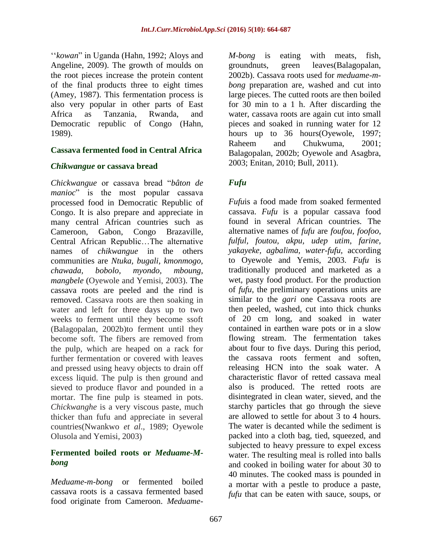‗‗*kowan*‖ in Uganda [\(Hahn, 1992;](#page-19-2) [Aloys and](#page-17-0)  [Angeline, 2009\)](#page-17-0). The growth of moulds on the root pieces increase the protein content of the final products three to eight times [\(Amey, 1987\)](#page-18-3). This fermentation process is also very popular in other parts of East Africa as Tanzania, Rwanda, and Democratic republic of Congo [\(Hahn,](#page-19-3)  [1989\)](#page-19-3).

## **Cassava fermented food in Central Africa**

#### *Chikwangue* **or cassava bread**

*Chickwangue* or cassava bread ―*bâton de manioc*" is the most popular cassava processed food in Democratic Republic of Congo. It is also prepare and appreciate in many central African countries such as Cameroon, Gabon, Congo Brazaville, Central African Republic…The alternative names of *chikwangue* in the others communities are *Ntuka, bugali, kmonmogo, chawada, bobolo, myondo, mboung, mangbele* [\(Oyewole and Yemisi, 2003\)](#page-18-4). The cassava roots are peeled and the rind is removed. Cassava roots are then soaking in water and left for three days up to two weeks to ferment until they become ssoft [\(Balagopalan, 2002b\)](#page-18-5)to ferment until they become soft. The fibers are removed from the pulp, which are heaped on a rack for further fermentation or covered with leaves and pressed using heavy objects to drain off excess liquid. The pulp is then ground and sieved to produce flavor and pounded in a mortar. The fine pulp is steamed in pots. *Chickwanghe* is a very viscous paste, much thicker than fufu and appreciate in several countries[\(Nwankwo](#page-21-4) *et al*., 1989; [Oyewole](#page-22-2)  [Olusola and Yemisi, 2003\)](#page-22-2)

## **Fermented boiled roots or** *Meduame-Mbong*

*Meduame-m-bong* or fermented boiled cassava roots is a cassava fermented based food originate from Cameroon. *Meduame-* *M-bong* is eating with meats, fish, groundnuts, green leaves[\(Balagopalan,](#page-18-5)  [2002b\)](#page-18-5). Cassava roots used for *meduame-mbong* preparation are, washed and cut into large pieces. The cutted roots are then boiled for 30 min to a 1 h. After discarding the water, cassava roots are again cut into small pieces and soaked in running water for 12 hours up to 36 hours[\(Oyewole, 1997;](#page-22-3) [Raheem and Chukwuma, 2001;](#page-22-4) [Balagopalan, 2002b;](#page-18-5) [Oyewole and Asagbra,](#page-22-5)  [2003;](#page-22-5) [Enitan, 2010;](#page-19-4) [Bull, 2011\)](#page-18-6).

## *Fufu*

*Fufu*is a food made from soaked fermented cassava. *Fufu* is a popular cassava food found in several African countries. The alternative names of *fufu* are *foufou, foofoo, fulful, foutou, akpu, udep utim*, *farine, yakayeke, agbalima, water-fufu,* according to Oyewole and Yemis, 2003. *Fufu* is traditionally produced and marketed as a wet, pasty food product. For the production of *fufu*, the preliminary operations units are similar to the *gari* one Cassava roots are then peeled, washed, cut into thick chunks of 20 cm long, and soaked in water contained in earthen ware pots or in a slow flowing stream. The fermentation takes about four to five days. During this period, the cassava roots ferment and soften, releasing HCN into the soak water. A characteristic flavor of retted cassava meal also is produced. The retted roots are disintegrated in clean water, sieved, and the starchy particles that go through the sieve are allowed to settle for about 3 to 4 hours. The water is decanted while the sediment is packed into a cloth bag, tied, squeezed, and subjected to heavy pressure to expel excess water. The resulting meal is rolled into balls and cooked in boiling water for about 30 to 40 minutes. The cooked mass is pounded in a mortar with a pestle to produce a paste, *fufu* that can be eaten with sauce, soups, or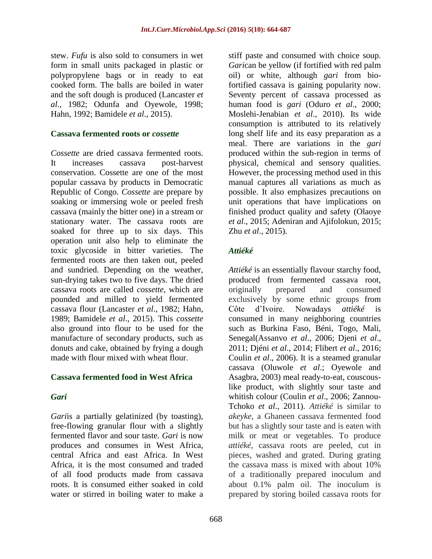stew. *Fufu* is also sold to consumers in wet form in small units packaged in plastic or polypropylene bags or in ready to eat cooked form. The balls are boiled in water and the soft dough is produced [\(Lancaster](#page-20-3) *et al*[., 1982;](#page-20-3) [Odunfa and Oyewole, 1998;](#page-21-5) [Hahn, 1992;](#page-19-2) [Bamidele](#page-18-7) *et al*., 2015).

## **Cassava fermented roots or** *cossette*

*Cossette* are dried cassava fermented roots. It increases cassava post-harvest conservation. Cossette are one of the most popular cassava by products in Democratic Republic of Congo. *Cossette* are prepare by soaking or immersing wole or peeled fresh cassava (mainly the bitter one) in a stream or stationary water. The cassava roots are soaked for three up to six days. This operation unit also help to eliminate the toxic glycoside in bitter varieties. The fermented roots are then taken out, peeled and sundried. Depending on the weather, sun-drying takes two to five days. The dried cassava roots are called *cossette*, which are pounded and milled to yield fermented cassava flour [\(Lancaster](#page-20-3) *et al*., 1982; [Hahn,](#page-19-3)  [1989;](#page-19-3) [Bamidele](#page-18-7) *et al*., 2015). This *cossette* also ground into flour to be used for the manufacture of secondary products, such as donuts and cake, obtained by frying a dough made with flour mixed with wheat flour.

## **Cassava fermented food in West Africa**

## *Gari*

*Gari*is a partially gelatinized (by toasting), free-flowing granular flour with a slightly fermented flavor and sour taste. *Gari* is now produces and consumes in West Africa, central Africa and east Africa. In West Africa, it is the most consumed and traded of all food products made from cassava roots. It is consumed either soaked in cold water or stirred in boiling water to make a

stiff paste and consumed with choice soup. *Gari*can be yellow (if fortified with red palm oil) or white, although *gari* from biofortified cassava is gaining popularity now. Seventy percent of cassava processed as human food is *gari* (Oduro *et al*[., 2000;](#page-21-6) [Moslehi-Jenabian](#page-21-7) *et al*., 2010). Its wide consumption is attributed to its relatively long shelf life and its easy preparation as a meal. There are variations in the *gari* produced within the sub-region in terms of physical, chemical and sensory qualities. However, the processing method used in this manual captures all variations as much as possible. It also emphasizes precautions on unit operations that have implications on finished product quality and safety [\(Olaoye](#page-22-6)  *et al*[., 2015;](#page-22-6) [Adeniran and Ajifolokun, 2015;](#page-17-3) Zhu *et al*[., 2015\)](#page-23-2).

## *Attiéké*

*Attiéké* is an essentially flavour starchy food, produced from fermented cassava root, originally prepared and consumed exclusively by some ethnic groups from Côte d'Ivoire. Nowadays *attiéké* is consumed in many neighboring countries such as Burkina Faso, Béni, Togo, Mali, Senegal[\(Assanvo](#page-18-8) *et al*., 2006; [Djeni](#page-19-5) *et al*., [2011;](#page-19-5) Djéni *et al*[., 2014;](#page-19-6) [Flibert](#page-19-1) *et al*., 2016; Coulin *et al*[., 2006\)](#page-19-7). It is a steamed granular cassava [\(Oluwole](#page-22-7) *et al*.; [Oyewole and](#page-22-5)  [Asagbra, 2003\)](#page-22-5) meal ready-to-eat, couscouslike product, with slightly sour taste and whitish colour [\(Coulin](#page-19-7) *et al*., 2006; [Zannou-](#page-23-3)[Tchoko](#page-23-3) *et al*., 2011). *Attiéké* is similar to *akeyke*, a Ghaneen cassava fermented food but has a slightly sour taste and is eaten with milk or meat or vegetables. To produce *attiéké*, cassava roots are peeled, cut in pieces, washed and grated. During grating the cassava mass is mixed with about 10% of a traditionally prepared inoculum and about 0.1% palm oil. The inoculum is prepared by storing boiled cassava roots for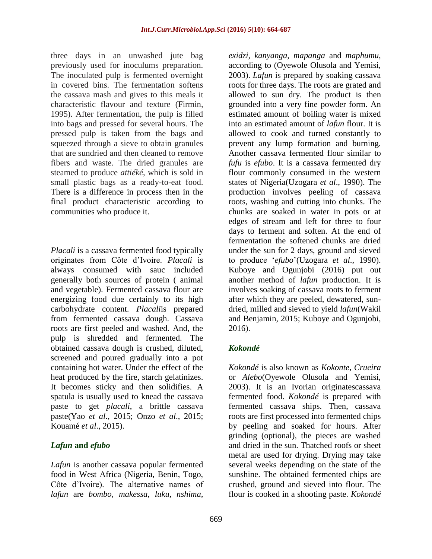three days in an unwashed jute bag previously used for inoculums preparation. The inoculated pulp is fermented overnight in covered bins. The fermentation softens the cassava mash and gives to this meals it characteristic flavour and texture [\(Firmin,](#page-19-8)  [1995\)](#page-19-8). After fermentation, the pulp is filled into bags and pressed for several hours. The pressed pulp is taken from the bags and squeezed through a sieve to obtain granules that are sundried and then cleaned to remove fibers and waste. The dried granules are steamed to produce *attiéké*, which is sold in small plastic bags as a ready-to-eat food. There is a difference in process then in the final product characteristic according to communities who produce it.

*Placali* is a cassava fermented food typically originates from Côte d'Ivoire. *Placali* is always consumed with sauc included generally both sources of protein ( animal and vegetable). Fermented cassava flour are energizing food due certainly to its high carbohydrate content. *Placali*is prepared from fermented cassava dough. Cassava roots are first peeled and washed. And, the pulp is shredded and fermented. The obtained cassava dough is crushed, diluted, screened and poured gradually into a pot containing hot water. Under the effect of the heat produced by the fire, starch gelatinizes. It becomes sticky and then solidifies. A spatula is usually used to knead the cassava paste to get *placali*, a brittle cassava paste(Yao *et al*[., 2015;](#page-23-4) Onzo *et al*[., 2015;](#page-22-8) [Kouamé](#page-20-4) *et al*., 2015).

## *Lafun* **and** *efubo*

*Lafun* is another cassava popular fermented food in West Africa (Nigeria, Benin, Togo, Côte d'Ivoire). The alternative names of *lafun* are *bombo, makessa, luku, nshima,* 

*exidzi, kanyanga, mapanga* and *maphumu*, according to [\(Oyewole Olusola and Yemisi,](#page-22-2)  [2003\)](#page-22-2). *Lafun* is prepared by soaking cassava roots for three days. The roots are grated and allowed to sun dry. The product is then grounded into a very fine powder form. An estimated amount of boiling water is mixed into an estimated amount of *lafun* flour. It is allowed to cook and turned constantly to prevent any lump formation and burning. Another cassava fermented flour similar to *fufu* is *efubo*. It is a cassava fermented dry flour commonly consumed in the western states of Nigeria[\(Uzogara](#page-23-5) *et al*., 1990). The production involves peeling of cassava roots, washing and cutting into chunks. The chunks are soaked in water in pots or at edges of stream and left for three to four days to ferment and soften. At the end of fermentation the softened chunks are dried under the sun for 2 days, ground and sieved to produce ‗*efubo*'[\(Uzogara](#page-23-5) *et al*., 1990). Kuboye and Ogunjobi (2016) put out another method of *lafun* production. It is involves soaking of cassava roots to ferment after which they are peeled, dewatered, sundried, milled and sieved to yield *lafun*[\(Wakil](#page-23-6)  [and Benjamin, 2015;](#page-23-6) [Kuboye and Ogunjobi,](#page-20-5)  [2016\)](#page-20-5).

## *Kokondé*

*Kokondé* is also known as *Kokonte*, *Crueira* or *Alebo*[\(Oyewole Olusola and Yemisi,](#page-22-2)  [2003\)](#page-22-2). It is an Ivorian originatescassava fermented food. *Kokondé* is prepared with fermented cassava ships. Then, cassava roots are first processed into fermented chips by peeling and soaked for hours. After grinding (optional), the pieces are washed and dried in the sun. Thatched roofs or sheet metal are used for drying. Drying may take several weeks depending on the state of the sunshine. The obtained fermented chips are crushed, ground and sieved into flour. The flour is cooked in a shooting paste. *Kokondé*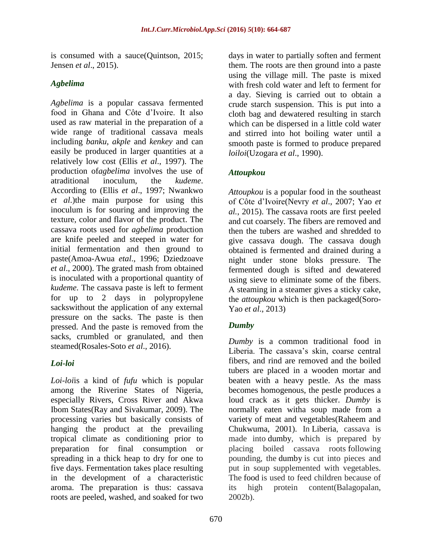is consumed with a sauce[\(Quintson, 2015;](#page-22-9) [Jensen](#page-20-6) *et al*., 2015).

## *Agbelima*

*Agbelima* is a popular cassava fermented food in Ghana and Côte d'Ivoire. It also used as raw material in the preparation of a wide range of traditional cassava meals including *banku*, *akple* and *kenkey* and can easily be produced in larger quantities at a relatively low cost (Ellis *et al*., 1997). The production of*agbelima* involves the use of atraditional inoculum, the *kudeme*. According to (Ellis *et al*[., 1997;](#page-19-9) [Nwankwo](#page-21-4)  *[et al](#page-21-4)*.)the main purpose for using this inoculum is for souring and improving the texture, color and flavor of the product. The cassava roots used for *agbelima* production are knife peeled and steeped in water for initial fermentation and then ground to paste[\(Amoa-Awua](#page-18-9) *etal*., 1996; [Dziedzoave](#page-19-10)  *et al*[., 2000\)](#page-19-10). The grated mash from obtained is inoculated with a proportional quantity of *kudeme*. The cassava paste is left to ferment for up to 2 days in polypropylene sackswithout the application of any external pressure on the sacks. The paste is then pressed. And the paste is removed from the sacks, crumbled or granulated, and then steamed[\(Rosales-Soto](#page-22-10) *et al*., 2016).

## *Loi-loi*

*Loi-loi*is a kind of *fufu* which is popular among the Riverine States of Nigeria, especially Rivers, Cross River and Akwa Ibom States[\(Ray and Sivakumar, 2009\)](#page-22-1). The processing varies but basically consists of hanging the product at the prevailing tropical climate as conditioning prior to preparation for final consumption or spreading in a thick heap to dry for one to five days. Fermentation takes place resulting in the development of a characteristic aroma. The preparation is thus: cassava roots are peeled, washed, and soaked for two

days in water to partially soften and ferment them. The roots are then ground into a paste using the village mill. The paste is mixed with fresh cold water and left to ferment for a day. Sieving is carried out to obtain a crude starch suspension. This is put into a cloth bag and dewatered resulting in starch which can be dispersed in a little cold water and stirred into hot boiling water until a smooth paste is formed to produce prepared *loiloi*[\(Uzogara](#page-23-5) *et al*., 1990).

## *Attoupkou*

*Attoupkou* is a popular food in the southeast of Côte d'Ivoire(Nevry *et al*[., 2007;](#page-21-8) [Yao](#page-23-4) *et al.*[, 2015\)](#page-23-4). The cassava roots are first peeled and cut coarsely. The fibers are removed and then the tubers are washed and shredded to give cassava dough. The cassava dough obtained is fermented and drained during a night under stone bloks pressure. The fermented dough is sifted and dewatered using sieve to eliminate some of the fibers. A steaming in a steamer gives a sticky cake, the *attoupkou* which is then packaged[\(Soro-](#page-23-7)Yao *et al*[., 2013\)](#page-23-7)

## *Dumby*

*Dumby* is a common traditional food in Liberia. The cassava's skin, coarse central fibers, and rind are removed and the boiled tubers are placed in a wooden mortar and beaten with a heavy pestle. As the mass becomes homogenous, the pestle produces a loud crack as it gets thicker. *Dumby* is normally eaten witha soup made from a variety of meat and vegetables[\(Raheem and](#page-22-4)  [Chukwuma, 2001\)](#page-22-4). In Liberia, cassava is made into dumby, which is prepared by placing boiled cassava roots following pounding, the dumby is cut into pieces and put in soup supplemented with vegetables. The food is used to feed children because of its high protein content[\(Balagopalan,](#page-18-5)  [2002b\)](#page-18-5).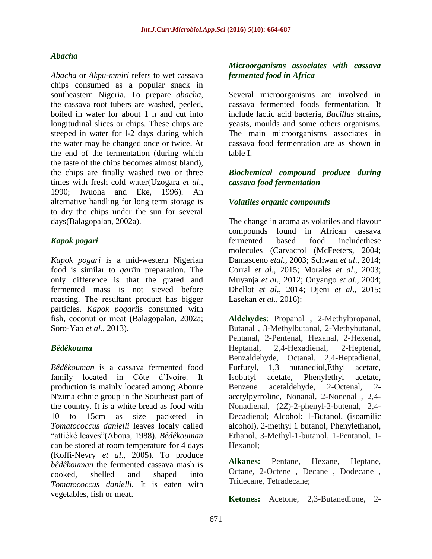## *Abacha*

*Abacha* or *Akpu-mmiri* refers to wet cassava chips consumed as a popular snack in southeastern Nigeria. To prepare *abacha*, the cassava root tubers are washed, peeled, boiled in water for about 1 h and cut into longitudinal slices or chips. These chips are steeped in water for l-2 days during which the water may be changed once or twice. At the end of the fermentation (during which the taste of the chips becomes almost bland), the chips are finally washed two or three times with fresh cold water[\(Uzogara](#page-23-5) *et al*., [1990;](#page-23-5) Iwuoha [and Eke, 1996\)](#page-20-7). An alternative handling for long term storage is to dry the chips under the sun for several days[\(Balagopalan, 2002a\)](#page-18-4).

## *Kapok pogari*

*Kapok pogari* is a mid-western Nigerian food is similar to *gari*in preparation. The only difference is that the grated and fermented mass is not sieved before roasting. The resultant product has bigger particles. *Kapok pogari*is consumed with fish, coconut or meat [\(Balagopalan, 2002a;](#page-18-4) [Soro-Yao](#page-23-7) *et al*., 2013).

## *Bêdêkouma*

*Bêdêkouman* is a cassava fermented food family located in Côte d'Ivoire. It production is mainly located among Aboure N'zima ethnic group in the Southeast part of the country. It is a white bread as food with 10 to 15cm as size packeted in *Tomatococcus danielli* leaves localy called ―attiéké leaves‖[\(Aboua, 1988\)](#page-17-4). *Bêdêkouman* can be stored at room temperature for 4 days [\(Koffi-Nevry](#page-20-8) *et al*., 2005). To produce *bêdêkouman* the fermented cassava mash is cooked, shelled and shaped into *Tomatococcus danielli.* It is eaten with vegetables, fish or meat.

## *Microorganisms associates with cassava fermented food in Africa*

Several microorganisms are involved in cassava fermented foods fermentation. It include lactic acid bacteria, *Bacillus* strains, yeasts, moulds and some others organisms. The main microorganisms associates in cassava food fermentation are as shown in table I.

## *Biochemical compound produce during cassava food fermentation*

## *Volatiles organic compounds*

The change in aroma as volatiles and flavour compounds found in African cassava fermented based food includethese molecules (Carvacrol [\(McFeeters, 2004;](#page-21-9) [Damasceno](#page-19-11) *etal.,* 2003; [Schwan](#page-23-8) *et al*., 2014; Corral *et al*[., 2015;](#page-19-12) [Morales](#page-21-10) *et al*., 2003; [Muyanja](#page-21-11) *et al*., 2012; [Onyango](#page-22-11) *et al*., 2004; Dhellot *et al*[., 2014;](#page-19-13) Djeni *et al*[., 2015;](#page-19-14) [Lasekan](#page-20-9) *et al*., 2016):

**Aldehydes**: Propanal , 2-Methylpropanal, Butanal , 3-Methylbutanal, 2-Methybutanal, Pentanal, 2-Pentenal, Hexanal, 2-Hexenal, Heptanal, 2,4-Hexadienal, 2-Heptenal, Benzaldehyde, Octanal, 2,4-Heptadienal, Furfuryl, 1,3 butanediol,Ethyl acetate, Isobutyl acetate, Phenylethyl acetate, Benzene acetaldehyde, 2-Octenal, 2 acetylpyrroline, Nonanal, 2-Nonenal , 2,4- Nonadienal, (2*Z*)-2-phenyl-2-butenal, 2,4- Decadienal; Alcohol: 1-Butanol, (isoamilic alcohol), 2-methyl 1 butanol, Phenylethanol, Ethanol, 3-Methyl-1-butanol, 1-Pentanol, 1- Hexanol;

**Alkanes:** Pentane, Hexane, Heptane, Octane, 2-Octene , Decane , Dodecane , Tridecane, Tetradecane;

**Ketones:** Acetone, 2,3-Butanedione, 2-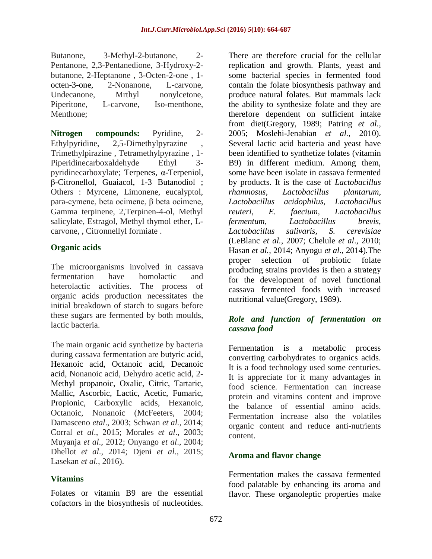Butanone, 3-Methyl-2-butanone, 2- Pentanone, 2,3-Pentanedione, 3-Hydroxy-2 butanone, 2-Heptanone , 3-Octen-2-one , 1 octen-3-one, 2-Nonanone, L-carvone, Undecanone, Mrthyl nonvloetone, Piperitone, L-carvone, Iso-menthone, Menthone;

**Nitrogen compounds:** Pyridine, 2- Ethylpyridine, 2,5-Dimethylpyrazine , Trimethylpirazine , Tetramethylpyrazine , 1- Piperidinecarboxaldehyde Ethyl 3 pyridinecarboxylate; Terpenes, α-Terpeniol, β-Citronellol, Guaiacol, 1-3 Butanodiol ; Others : Myrcene, Limonene, eucalyptol, para-cymene, beta ocimene, β beta ocimene, Gamma terpinene, 2,Terpinen-4-ol, Methyl salicylate, Estragol, Methyl thymol ether, Lcarvone, , Citronnellyl formiate .

## **Organic acids**

The microorganisms involved in cassava fermentation have homolactic and heterolactic activities. The process of organic acids production necessitates the initial breakdown of starch to sugars before these sugars are fermented by both moulds, lactic bacteria.

The main organic acid synthetize by bacteria during cassava fermentation are butyric acid, Hexanoic acid, Octanoic acid, Decanoic acid, Nonanoic acid, Dehydro acetic acid, 2- Methyl propanoic, Oxalic, Citric, Tartaric, Mallic, Ascorbic, Lactic, Acetic, Fumaric, Propionic, Carboxylic acids, Hexanoic, Octanoic, Nonanoic [\(McFeeters, 2004;](#page-21-9) [Damasceno](#page-19-11) *etal*., 2003; [Schwan](#page-23-8) *et al.*, 2014; Corral *et al*[., 2015;](#page-19-12) [Morales](#page-21-10) *et al*., 2003; [Muyanja](#page-21-11) *et al*., 2012; [Onyango](#page-22-11) *et al*., 2004; Dhellot *et al*[., 2014;](#page-19-13) Djeni *et al*[., 2015;](#page-19-14) [Lasekan](#page-20-9) *et al.,* 2016).

## **Vitamins**

Folates or vitamin B9 are the essential cofactors in the biosynthesis of nucleotides.

There are therefore crucial for the cellular replication and growth. Plants, yeast and some bacterial species in fermented food contain the folate biosynthesis pathway and produce natural folates. But mammals lack the ability to synthesize folate and they are therefore dependent on sufficient intake from diet[\(Gregory, 1989;](#page-19-15) [Patring](#page-22-12) *et al.,* [2005;](#page-22-12) [Moslehi-Jenabian](#page-21-7) *et al.,* 2010). Several lactic acid bacteria and yeast have been identified to synthetize folates (vitamin B9) in different medium. Among them, some have been isolate in cassava fermented by products. It is the case of *Lactobacillus rhamnosus, Lactobacillus plantarum, Lactobacillus acidophilus, Lactobacillus reuteri, E. faecium, Lactobacillus fermentum, Lactobacillus brevis, Lactobacillus salivaris, S. cerevisiae* [\(LeBlanc](#page-20-10) *et al.*, 2007; [Chelule](#page-18-10) *et al*., 2010; [Hasan](#page-20-11) *et al.,* 2014; [Anyogu](#page-18-11) *et al*., 2014)*.*The proper selection of probiotic folate producing strains provides is then a strategy for the development of novel functional cassava fermented foods with increased nutritional value[\(Gregory, 1989\)](#page-19-15).

## *Role and function of fermentation on cassava food*

Fermentation is a metabolic process converting carbohydrates to organics acids. It is a food technology used some centuries. It is appreciate for it many advantages in food science. Fermentation can increase protein and vitamins content and improve the balance of essential amino acids. Fermentation increase also the volatiles organic content and reduce anti-nutrients content.

## **Aroma and flavor change**

Fermentation makes the cassava fermented food palatable by enhancing its aroma and flavor. These organoleptic properties make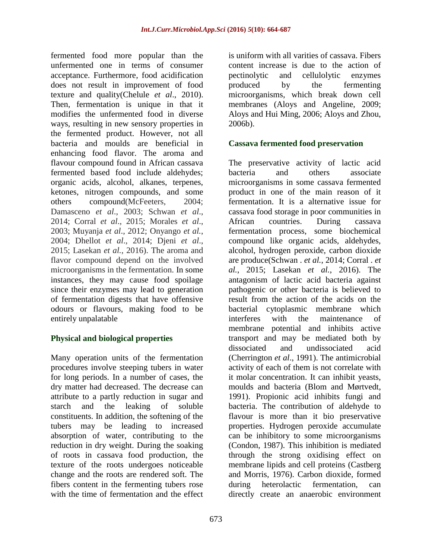fermented food more popular than the unfermented one in terms of consumer acceptance. Furthermore, food acidification does not result in improvement of food texture and quality[\(Chelule](#page-18-10) *et al*., 2010). Then, fermentation is unique in that it modifies the unfermented food in diverse ways, resulting in new sensory properties in the fermented product. However, not all bacteria and moulds are beneficial in enhancing food flavor. The aroma and flavour compound found in African cassava fermented based food include aldehydes; organic acids, alcohol, alkanes, terpenes, ketones, nitrogen compounds, and some others compound[\(McFeeters, 2004;](#page-21-9) [Damasceno](#page-19-11) *et al*., 2003; [Schwan](#page-23-8) *et al*., [2014;](#page-23-8) Corral *et al*[., 2015;](#page-19-12) [Morales](#page-21-10) *et al*., [2003;](#page-21-10) [Muyanja](#page-21-11) *et al*., 2012; [Onyango](#page-22-11) *et al.*, [2004;](#page-22-11) [Dhellot](#page-19-13) *et al*., 2014; [Djeni](#page-19-14) *et al*., [2015;](#page-19-14) [Lasekan](#page-20-9) *et al.*, 2016). The aroma and flavor compound depend on the involved microorganisms in the fermentation. In some instances, they may cause food spoilage since their enzymes may lead to generation of fermentation digests that have offensive odours or flavours, making food to be entirely unpalatable

## **Physical and biological properties**

Many operation units of the fermentation procedures involve steeping tubers in water for long periods. In a number of cases, the dry matter had decreased. The decrease can attribute to a partly reduction in sugar and starch and the leaking of soluble constituents. In addition, the softening of the tubers may be leading to increased absorption of water, contributing to the reduction in dry weight. During the soaking of roots in cassava food production, the texture of the roots undergoes noticeable change and the roots are rendered soft. The fibers content in the fermenting tubers rose with the time of fermentation and the effect

is uniform with all varities of cassava. Fibers content increase is due to the action of pectinolytic and cellulolytic enzymes produced by the fermenting microorganisms, which break down cell membranes [\(Aloys and Angeline, 2009;](#page-17-0) [Aloys and Hui Ming, 2006;](#page-17-2) [Aloys and Zhou,](#page-18-1)  [2006b\)](#page-18-1).

## **Cassava fermented food preservation**

The preservative activity of lactic acid bacteria and others associate microorganisms in some cassava fermented product in one of the main reason of it fermentation. It is a alternative issue for cassava food storage in poor communities in African countries. During cassava fermentation process, some biochemical compound like organic acids, aldehydes, alcohol, hydrogen peroxide, carbon dioxide are produce[\(Schwan .](#page-20-3) *et al.*, 2014; [Corral .](#page-18-6) *et al.*[, 2015;](#page-18-6) [Lasekan](#page-19-8) *et al.*, 2016). The antagonism of lactic acid bacteria against pathogenic or other bacteria is believed to result from the action of the acids on the bacterial cytoplasmic membrane which interferes with the maintenance of membrane potential and inhibits active transport and may be mediated both by dissociated and undissociated acid [\(Cherrington](#page-18-12) *et al*., 1991). The antimicrobial activity of each of them is not correlate with it molar concentration. It can inhibit yeasts, moulds and bacteria [\(Blom and Mørtvedt,](#page-18-13)  [1991\)](#page-18-13). Propionic acid inhibits fungi and bacteria. The contribution of aldehyde to flavour is more than it bio preservative properties. Hydrogen peroxide accumulate can be inhibitory to some microorganisms [\(Condon, 1987\)](#page-19-16). This inhibition is mediated through the strong oxidising effect on membrane lipids and cell proteins [\(Castberg](#page-18-14)  [and Morris, 1976\)](#page-18-14). Carbon dioxide, formed during heterolactic fermentation, can directly create an anaerobic environment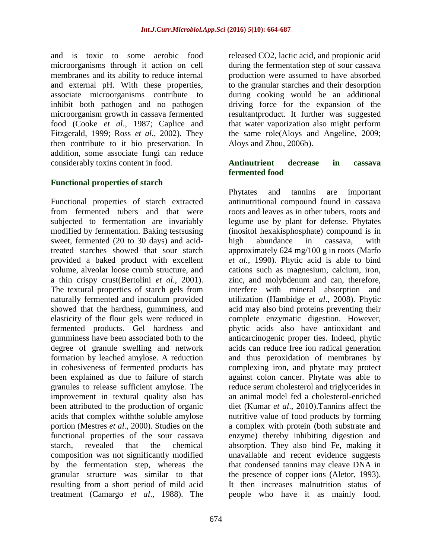and is toxic to some aerobic food microorganisms through it action on cell membranes and its ability to reduce internal and external pH. With these properties, associate microorganisms contribute to inhibit both pathogen and no pathogen microorganism growth in cassava fermented food (Cooke *et al*[., 1987;](#page-19-17) [Caplice and](#page-18-15)  [Fitzgerald, 1999;](#page-18-15) Ross *et al*[., 2002\)](#page-22-13). They then contribute to it bio preservation. In addition, some associate fungi can reduce considerably toxins content in food.

## **Functional properties of starch**

Functional properties of starch extracted from fermented tubers and that were subjected to fermentation are invariably modified by fermentation. Baking testsusing sweet, fermented (20 to 30 days) and acidtreated starches showed that sour starch provided a baked product with excellent volume, alveolar loose crumb structure, and a thin crispy crust[\(Bertolini](#page-18-16) *et al*., 2001). The textural properties of starch gels from naturally fermented and inoculum provided showed that the hardness, gumminess, and elasticity of the flour gels were reduced in fermented products. Gel hardness and gumminess have been associated both to the degree of granule swelling and network formation by leached amylose. A reduction in cohesiveness of fermented products has been explained as due to failure of starch granules to release sufficient amylose. The improvement in textural quality also has been attributed to the production of organic acids that complex withthe soluble amylose portion [\(Mestres](#page-21-12) *et al*., 2000). Studies on the functional properties of the sour cassava starch, revealed that the chemical composition was not significantly modified by the fermentation step, whereas the granular structure was similar to that resulting from a short period of mild acid treatment [\(Camargo](#page-18-17) *et al*., 1988). The

released CO2, lactic acid, and propionic acid during the fermentation step of sour cassava production were assumed to have absorbed to the granular starches and their desorption during cooking would be an additional driving force for the expansion of the resultantproduct. It further was suggested that water vaporization also might perform the same role[\(Aloys and Angeline, 2009;](#page-17-0) [Aloys and Zhou, 2006b\)](#page-18-1).

## **Antinutrient decrease in cassava fermented food**

Phytates and tannins are important antinutritional compound found in cassava roots and leaves as in other tubers, roots and legume use by plant for defense. Phytates (inositol hexakisphosphate) compound is in high abundance in cassava, with approximately 624 mg/100 g in roots [\(Marfo](#page-21-13)  *et al.*[, 1990\)](#page-21-13). Phytic acid is able to bind cations such as magnesium, calcium, iron, zinc, and molybdenum and can, therefore, interfere with mineral absorption and utilization [\(Hambidge](#page-20-12) *et al*., 2008). Phytic acid may also bind proteins preventing their complete enzymatic digestion. However, phytic acids also have antioxidant and anticarcinogenic proper ties. Indeed, phytic acids can reduce free ion radical generation and thus peroxidation of membranes by complexing iron, and phytate may protect against colon cancer. Phytate was able to reduce serum cholesterol and triglycerides in an animal model fed a cholesterol-enriched diet [\(Kumar](#page-20-13) *et al*., 2010).Tannins affect the nutritive value of food products by forming a complex with protein (both substrate and enzyme) thereby inhibiting digestion and absorption. They also bind Fe, making it unavailable and recent evidence suggests that condensed tannins may cleave DNA in the presence of copper ions [\(Aletor, 1993\)](#page-17-5). It then increases malnutrition status of people who have it as mainly food.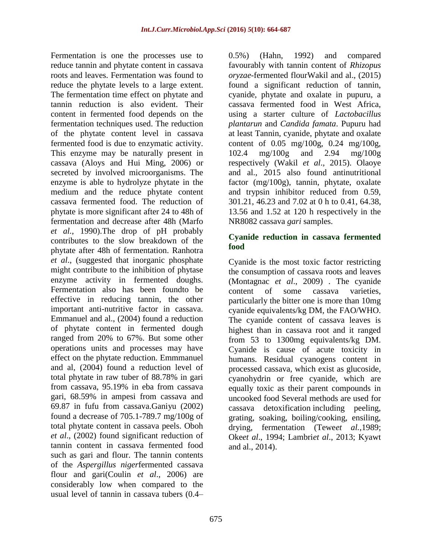Fermentation is one the processes use to reduce tannin and phytate content in cassava roots and leaves. Fermentation was found to reduce the phytate levels to a large extent. The fermentation time effect on phytate and tannin reduction is also evident. Their content in fermented food depends on the fermentation techniques used. The reduction of the phytate content level in cassava fermented food is due to enzymatic activity. This enzyme may be naturally present in cassava [\(Aloys and Hui Ming, 2006\)](#page-17-2) or secreted by involved microorganisms. The enzyme is able to hydrolyze phytate in the medium and the reduce phytate content cassava fermented food. The reduction of phytate is more significant after 24 to 48h of fermentation and decrease after 48h [\(Marfo](#page-21-13)  *et al.*[, 1990\)](#page-21-13).The drop of pH probably contributes to the slow breakdown of the phytate after 48h of fermentation. Ranhotra *et al*., (suggested that inorganic phosphate might contribute to the inhibition of phytase enzyme activity in fermented doughs. Fermentation also has been foundto be effective in reducing tannin, the other important anti-nutritive factor in cassava. Emmanuel and al., (2004) found a reduction of phytate content in fermented dough ranged from 20% to 67%. But some other operations units and processes may have effect on the phytate reduction. Emmmanuel and al, (2004) found a reduction level of total phytate in raw tuber of 88.78% in gari from cassava, 95.19% in eba from cassava gari, 68.59% in ampesi from cassava and 69.87 in fufu from cassava.Ganiyu (2002) found a decrease of 705.1-789.7 mg/100g of total phytate content in cassava peels. Oboh *et al*., (2002) found significant reduction of tannin content in cassava fermented food such as gari and flour. The tannin contents of the *Aspergillus niger*fermented cassava flour and gari(Coulin *et al*[., 2006\)](#page-19-7) are considerably low when compared to the usual level of tannin in cassava tubers (0.4–

0.5%) [\(Hahn, 1992\)](#page-19-2) and compared favourably with tannin content of *Rhizopus oryzae*-fermented flourWakil and al., (2015) found a significant reduction of tannin, cyanide, phytate and oxalate in pupuru, a cassava fermented food in West Africa, using a starter culture of *Lactobacillus plantarun* and *Candida famata*. Pupuru had at least Tannin, cyanide, phytate and oxalate content of 0.05 mg/100g, 0.24 mg/100g, 102.4 mg/100g and 2.94 mg/100g respectively (Wakil *et al*., 2015). Olaoye and al., 2015 also found antinutritional factor (mg/100g), tannin, phytate, oxalate and trypsin inhibitor reduced from 0.59, 301.21, 46.23 and 7.02 at 0 h to 0.41, 64.38, 13.56 and 1.52 at 120 h respectively in the NR8082 cassava *gari* samples.

#### **Cyanide reduction in cassava fermented food**

Cyanide is the most toxic factor restricting the consumption of cassava roots and leaves [\(Montagnac](#page-21-14) *et al*., 2009) . The cyanide content of some cassava varieties, particularly the bitter one is more than 10mg cyanide equivalents/kg DM, the FAO/WHO. The cyanide content of cassava leaves is highest than in cassava root and it ranged from 53 to 1300mg equivalents/kg DM. Cyanide is cause of acute toxicity in humans. Residual cyanogens content in processed cassava, which exist as glucoside, cyanohydrin or free cyanide, which are equally toxic as their parent compounds in uncooked food Several methods are used for cassava detoxification including peeling, grating, soaking, boiling/cooking, ensiling, drying, fermentation (Tewe*et al.*,1989; Oke*et al*., 1994; Lambri*et al*., 2013; Kyawt and al., 2014).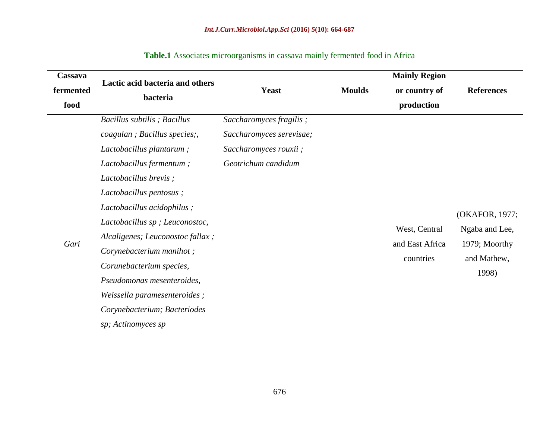| Cassava<br>fermented<br>food | Lactic acid bacteria and others<br>bacteria                                                                                                                                                                                                                                                                                      |                                                                                                      | <b>Mainly Region</b> |                                               |                                                                           |
|------------------------------|----------------------------------------------------------------------------------------------------------------------------------------------------------------------------------------------------------------------------------------------------------------------------------------------------------------------------------|------------------------------------------------------------------------------------------------------|----------------------|-----------------------------------------------|---------------------------------------------------------------------------|
|                              |                                                                                                                                                                                                                                                                                                                                  | <b>Yeast</b>                                                                                         | <b>Moulds</b>        | or country of                                 | <b>References</b>                                                         |
|                              |                                                                                                                                                                                                                                                                                                                                  |                                                                                                      |                      | production                                    |                                                                           |
|                              | Bacillus subtilis; Bacillus<br>coagulan; Bacillus species;<br>Lactobacillus plantarum;<br>Lactobacillus fermentum;                                                                                                                                                                                                               | Saccharomyces fragilis;<br>Saccharomyces serevisae;<br>Saccharomyces rouxii ;<br>Geotrichum candidum |                      |                                               |                                                                           |
| Gari                         | Lactobacillus brevis;<br>Lactobacillus pentosus;<br>Lactobacillus acidophilus;<br>Lactobacillus sp; Leuconostoc,<br>Alcaligenes; Leuconostoc fallax;<br>Corynebacterium manihot;<br>Corunebacterium species,<br>Pseudomonas mesenteroides,<br>Weissella paramesenteroides;<br>Corynebacterium; Bacteriodes<br>sp; Actinomyces sp |                                                                                                      |                      | West, Central<br>and East Africa<br>countries | (OKAFOR, 1977;<br>Ngaba and Lee,<br>1979; Moorthy<br>and Mathew,<br>1998) |

## **Table.1** Associates microorganisms in cassava mainly fermented food in Africa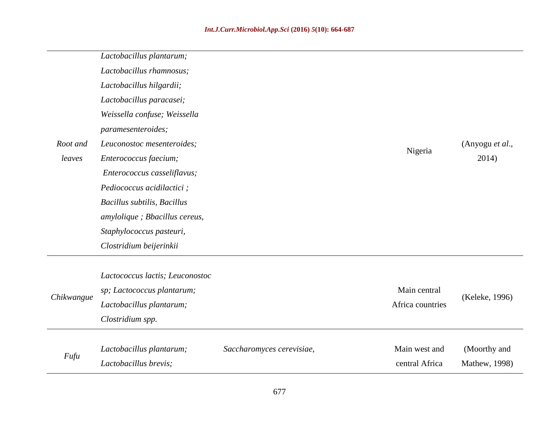|            | Lactobacillus plantarum;        |                           |                  |                 |
|------------|---------------------------------|---------------------------|------------------|-----------------|
|            | Lactobacillus rhamnosus;        |                           |                  |                 |
|            | Lactobacillus hilgardii;        |                           |                  |                 |
|            | Lactobacillus paracasei;        |                           |                  |                 |
|            | Weissella confuse; Weissella    |                           |                  |                 |
|            | paramesenteroides;              |                           |                  |                 |
| Root and   | Leuconostoc mesenteroides;      |                           |                  | (Anyogu et al., |
| leaves     | Enterococcus faecium;           |                           | Nigeria          | 2014)           |
|            | Enterococcus casseliflavus;     |                           |                  |                 |
|            | Pediococcus acidilactici;       |                           |                  |                 |
|            | Bacillus subtilis, Bacillus     |                           |                  |                 |
|            | amylolique ; Bbacillus cereus,  |                           |                  |                 |
|            | Staphylococcus pasteuri,        |                           |                  |                 |
|            | Clostridium beijerinkii         |                           |                  |                 |
|            |                                 |                           |                  |                 |
|            | Lactococcus lactis; Leuconostoc |                           | Main central     |                 |
| Chikwangue | sp; Lactococcus plantarum;      |                           | Africa countries | (Keleke, 1996)  |
|            | Lactobacillus plantarum;        |                           |                  |                 |
|            | Clostridium spp.                |                           |                  |                 |
| Fufu       | Lactobacillus plantarum;        | Saccharomyces cerevisiae, | Main west and    | (Moorthy and    |
|            | Lactobacillus brevis;           |                           | central Africa   | Mathew, 1998)   |
|            |                                 |                           |                  |                 |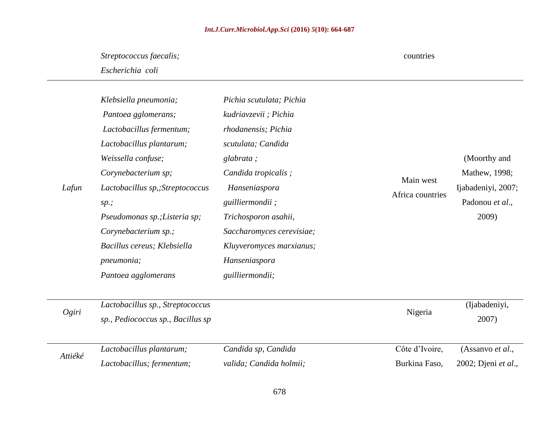## *Int.J.Curr.Microbiol.App.Sci* **(2016)** *5***(10): 664-687**

countries

# *Streptococcus faecalis;*

*Escherichia coli*

| Lafun | Klebsiella pneumonia;<br>Pantoea gglomerans;<br>Lactobacillus fermentum;<br>Lactobacillus plantarum;<br>Weissella confuse;<br>Corynebacterium sp;<br>Lactobacillus sp,; Streptococcus<br>sp.;<br>Pseudomonas sp.; Listeria sp;<br>Corynebacterium sp.;<br>Bacillus cereus; Klebsiella<br>pneumonia;<br>Pantoea agglomerans | Pichia scutulata; Pichia<br>kudriavzevii; Pichia<br>rhodanensis; Pichia<br>scutulata; Candida<br>glabrata;<br>Candida tropicalis;<br>Hanseniaspora<br>guilliermondii;<br>Trichosporon asahii,<br>Saccharomyces cerevisiae;<br>Kluyveromyces marxianus;<br>Hanseniaspora<br>guilliermondii; | Main west<br>Africa countries | (Moorthy and<br>Mathew, 1998;<br>Ijabadeniyi, 2007;<br>Padonou et al.,<br>2009) |
|-------|----------------------------------------------------------------------------------------------------------------------------------------------------------------------------------------------------------------------------------------------------------------------------------------------------------------------------|--------------------------------------------------------------------------------------------------------------------------------------------------------------------------------------------------------------------------------------------------------------------------------------------|-------------------------------|---------------------------------------------------------------------------------|
| Ogiri | Lactobacillus sp., Streptococcus<br>sp., Pediococcus sp., Bacillus sp                                                                                                                                                                                                                                                      |                                                                                                                                                                                                                                                                                            | Nigeria                       | (Ijabadeniyi,<br>2007)                                                          |

| Attiéké | Lactobacillus plantarum;  | Candida sp, Candida     | Côte d'Ivoire, | (Assanyo <i>et al.</i> ,    |
|---------|---------------------------|-------------------------|----------------|-----------------------------|
|         | Lactobacillus; fermentum; | valida; Candida holmii; | Burkina Faso,  | 2002; Djeni <i>et al.</i> , |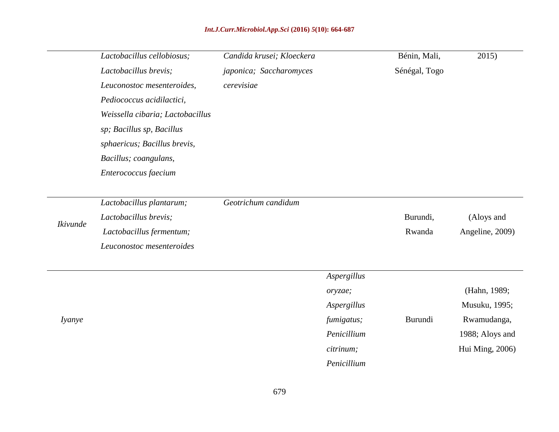## *Int.J.Curr.Microbiol.App.Sci* **(2016)** *5***(10): 664-687**

|               | Lactobacillus cellobiosus;       | Candida krusei; Kloeckera |             | Bénin, Mali,  | 2015)           |
|---------------|----------------------------------|---------------------------|-------------|---------------|-----------------|
|               | Lactobacillus brevis;            | japonica; Saccharomyces   |             | Sénégal, Togo |                 |
|               | Leuconostoc mesenteroides,       | cerevisiae                |             |               |                 |
|               | Pediococcus acidilactici,        |                           |             |               |                 |
|               | Weissella cibaria; Lactobacillus |                           |             |               |                 |
|               | sp; Bacillus sp, Bacillus        |                           |             |               |                 |
|               | sphaericus; Bacillus brevis,     |                           |             |               |                 |
|               | Bacillus; coangulans,            |                           |             |               |                 |
|               | Enterococcus faecium             |                           |             |               |                 |
|               |                                  |                           |             |               |                 |
|               | Lactobacillus plantarum;         | Geotrichum candidum       |             |               |                 |
|               | Lactobacillus brevis;            |                           |             | Burundi,      | (Aloys and      |
| Ikivunde      | Lactobacillus fermentum;         |                           |             | Rwanda        | Angeline, 2009) |
|               | Leuconostoc mesenteroides        |                           |             |               |                 |
|               |                                  |                           | Aspergillus |               |                 |
|               |                                  |                           | oryzae;     |               | (Hahn, 1989;    |
|               |                                  |                           | Aspergillus |               | Musuku, 1995;   |
| <i>lyanye</i> |                                  |                           | fumigatus;  | Burundi       | Rwamudanga,     |
|               |                                  |                           | Penicillium |               | 1988; Aloys and |
|               |                                  |                           | citrinum;   |               | Hui Ming, 2006) |
|               |                                  |                           |             |               |                 |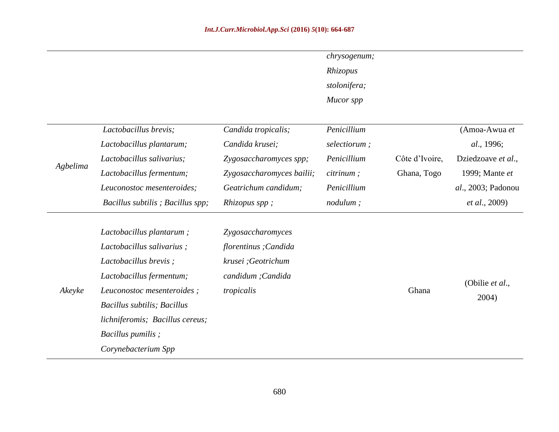|          |                                  |                           | chrysogenum;      |                |                       |
|----------|----------------------------------|---------------------------|-------------------|----------------|-----------------------|
|          |                                  |                           | Rhizopus          |                |                       |
|          |                                  |                           | stolonifera;      |                |                       |
|          |                                  |                           | Mucor spp         |                |                       |
|          | Lactobacillus brevis;            | Candida tropicalis;       | Penicillium       |                | (Amoa-Awua et         |
|          | Lactobacillus plantarum;         | Candida krusei;           | selectiorum;      |                | al., 1996;            |
|          | Lactobacillus salivarius;        | Zygosaccharomyces spp;    | Penicillium       | Côte d'Ivoire, | Dziedzoave et al.,    |
| Agbelima | Lactobacillus fermentum;         | Zygosaccharomyces bailii; | <i>citrinum</i> ; | Ghana, Togo    | 1999; Mante et        |
|          | Leuconostoc mesenteroides;       | Geatrichum candidum;      | Penicillium       |                | al., 2003; Padonou    |
|          | Bacillus subtilis; Bacillus spp; | Rhizopus spp;             | nodulum;          |                | <i>et al.</i> , 2009) |
|          | Lactobacillus plantarum;         | Zygosaccharomyces         |                   |                |                       |
|          | Lactobacillus salivarius;        | florentinus; Candida      |                   |                |                       |
|          | Lactobacillus brevis;            | krusei ;Geotrichum        |                   |                |                       |
|          | Lactobacillus fermentum;         | candidum; Candida         |                   |                |                       |
| Akeyke   | Leuconostoc mesenteroides;       | tropicalis                |                   | Ghana          | (Obilie et al.,       |
|          | Bacillus subtilis; Bacillus      |                           |                   |                | 2004)                 |
|          | lichniferomis; Bacillus cereus;  |                           |                   |                |                       |
|          | Bacillus pumilis;                |                           |                   |                |                       |
|          | Corynebacterium Spp              |                           |                   |                |                       |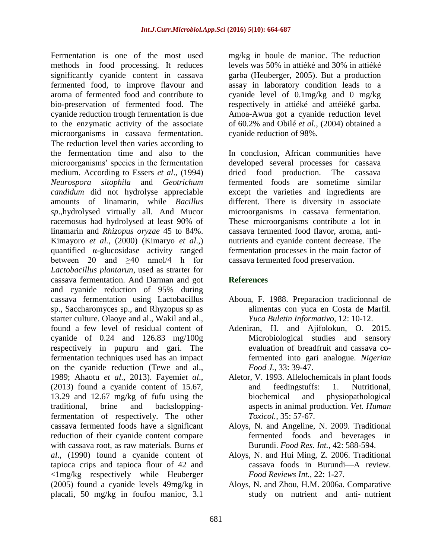Fermentation is one of the most used methods in food processing. It reduces significantly cyanide content in cassava fermented food, to improve flavour and aroma of fermented food and contribute to bio-preservation of fermented food. The cyanide reduction trough fermentation is due to the enzymatic activity of the associate microorganisms in cassava fermentation. The reduction level then varies according to the fermentation time and also to the microorganisms' species in the fermentation medium. According to Essers *et al*., (1994) *Neurospora sitophila* and *Geotrichum candidum* did not hydrolyse appreciable amounts of linamarin, while *Bacillus sp*.,hydrolysed virtually all. And Mucor racemosus had hydrolysed at least 90% of linamarin and *Rhizopus oryzae* 45 to 84%. Kimayoro *et al.*, (2000) [\(Kimaryo](#page-20-2) *et al*.,) quantified α-glucosidase activity ranged between 20 and  $\geq 40$  nmol/4 h for *Lactobacillus plantarun*, used as strarter for cassava fermentation. And Darman and got and cyanide reduction of 95% during cassava fermentation using Lactobacillus sp., Saccharomyces sp., and Rhyzopus sp as starter culture. Olaoye and al., Wakil and al., found a few level of residual content of cyanide of 0.24 and 126.83 mg/100g respectively in pupuru and gari. The fermentation techniques used has an impact on the cyanide reduction (Tewe and al., 1989; Ahaotu *et al*., 2013). Fayemi*et al*., (2013) found a cyanide content of 15.67, 13.29 and 12.67 mg/kg of fufu using the traditional, brine and backsloppingfermentation of respectively. The other cassava fermented foods have a significant reduction of their cyanide content compare with cassava root, as raw materials. Burns *et al*., (1990) found a cyanide content of tapioca crips and tapioca flour of 42 and <1mg/kg respectively while Heuberger (2005) found a cyanide levels 49mg/kg in placali, 50 mg/kg in foufou manioc, 3.1

mg/kg in boule de manioc. The reduction levels was 50% in attiéké and 30% in attiéké garba [\(Heuberger, 2005\)](#page-20-16). But a production assay in laboratory condition leads to a cyanide level of 0.1mg/kg and 0 mg/kg respectively in attiéké and attéiéké garba. Amoa-Awua got a cyanide reduction level of 60.2% and Obilé *et al.*, (2004) obtained a cyanide reduction of 98%.

In conclusion, African communities have developed several processes for cassava dried food production. The cassava fermented foods are sometime similar except the varieties and ingredients are different. There is diversity in associate microorganisms in cassava fermentation. These microorganisms contribute a lot in cassava fermented food flavor, aroma, antinutrients and cyanide content decrease. The fermentation processes in the main factor of cassava fermented food preservation.

## **References**

- <span id="page-17-4"></span>Aboua, F. 1988. Preparacion tradicionnal de alimentas con yuca en Costa de Marfil. *Yuca Buletin Informativo,* 12: 10-12.
- <span id="page-17-6"></span><span id="page-17-3"></span>Adeniran, H. and Ajifolokun, O. 2015. Microbiological studies and sensory evaluation of breadfruit and cassava cofermented into gari analogue. *Nigerian Food J.,* 33: 39-47.
- <span id="page-17-5"></span>Aletor, V. 1993. Allelochemicals in plant foods and feedingstuffs: 1. Nutritional, biochemical and physiopathological aspects in animal production. *Vet. Human Toxicol.,* 35: 57-67.
- <span id="page-17-0"></span>Aloys, N. and Angeline, N. 2009. Traditional fermented foods and beverages in Burundi. *Food Res. Int.,* 42: 588-594.
- <span id="page-17-2"></span>Aloys, N. and Hui Ming, Z. 2006. Traditional cassava foods in Burundi—A review. *Food Reviews Int.,* 22: 1-27.
- <span id="page-17-1"></span>Aloys, N. and Zhou, H.M. 2006a. Comparative study on nutrient and anti‐ nutrient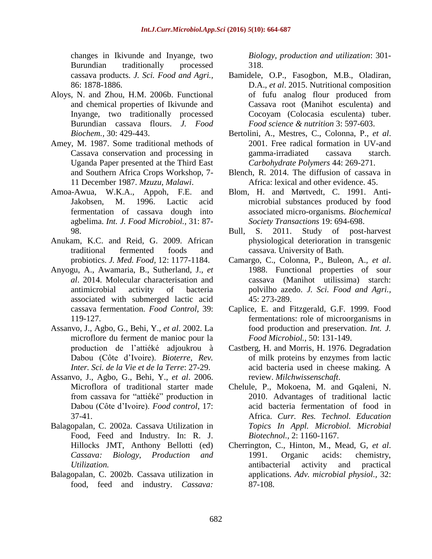<span id="page-18-20"></span>changes in Ikivunde and Inyange, two Burundian traditionally processed cassava products. *J. Sci. Food and Agri.,* 86: 1878-1886.

- <span id="page-18-1"></span>Aloys, N. and Zhou, H.M. 2006b. Functional and chemical properties of Ikivunde and Inyange, two traditionally processed Burundian cassava flours. *J. Food Biochem.,* 30: 429-443.
- <span id="page-18-18"></span><span id="page-18-3"></span>Amey, M. 1987. Some traditional methods of Cassava conservation and processing in Uganda Paper presented at the Third East and Southern Africa Crops Workshop, 7- 11 December 1987. *Mzuzu, Malawi*.
- <span id="page-18-19"></span><span id="page-18-9"></span>Amoa-Awua, W.K.A., Appoh, F.E. and Jakobsen, M. 1996. Lactic acid fermentation of cassava dough into agbelima. *Int. J. Food Microbiol.,* 31: 87- 98.
- <span id="page-18-2"></span>Anukam, K.C. and Reid, G. 2009. African traditional fermented foods and probiotics. *J. Med. Food,* 12: 1177-1184.
- <span id="page-18-11"></span>Anyogu, A., Awamaria, B., Sutherland, J., *et al*. 2014. Molecular characterisation and antimicrobial activity of bacteria associated with submerged lactic acid cassava fermentation. *Food Control,* 39: 119-127.
- Assanvo, J., Agbo, G., Behi, Y., *et al*. 2002. La microflore du ferment de manioc pour la production de l'attiéké adjoukrou à Dabou (Côte d'Ivoire). *Bioterre, Rev. Inter. Sci. de la Vie et de la Terre*: 27-29.
- <span id="page-18-8"></span>Assanvo, J., Agbo, G., Behi, Y., *et al*. 2006. Microflora of traditional starter made from cassava for "attiéké" production in Dabou (Côte d'Ivoire). *Food control,* 17: 37-41.
- <span id="page-18-4"></span>Balagopalan, C. 2002a. Cassava Utilization in Food, Feed and Industry. In: R. J. Hillocks JMT, Anthony Bellotti (ed) *Cassava: Biology, Production and Utilization.*
- <span id="page-18-5"></span>Balagopalan, C. 2002b. Cassava utilization in food, feed and industry. *Cassava:*

*Biology, production and utilization*: 301- 318.

- <span id="page-18-7"></span>Bamidele, O.P., Fasogbon, M.B., Oladiran, D.A., *et al*. 2015. Nutritional composition of fufu analog flour produced from Cassava root (Manihot esculenta) and Cocoyam (Colocasia esculenta) tuber. *Food science & nutrition* 3: 597-603.
- <span id="page-18-16"></span>Bertolini, A., Mestres, C., Colonna, P., *et al*. 2001. Free radical formation in UV-and gamma-irradiated cassava starch. *Carbohydrate Polymers* 44: 269-271.
- <span id="page-18-0"></span>Blench, R. 2014. The diffusion of cassava in Africa: lexical and other evidence. 45.
- <span id="page-18-13"></span>Blom, H. and Mørtvedt, C. 1991. Antimicrobial substances produced by food associated micro-organisms. *Biochemical Society Transactions* 19: 694-698.
- <span id="page-18-6"></span>Bull, S. 2011. Study of post-harvest physiological deterioration in transgenic cassava. University of Bath.
- <span id="page-18-17"></span>Camargo, C., Colonna, P., Buleon, A., *et al*. 1988. Functional properties of sour cassava (Manihot utilissima) starch: polvilho azedo. *J. Sci. Food and Agri.,* 45: 273-289.
- <span id="page-18-15"></span>Caplice, E. and Fitzgerald, G.F. 1999. Food fermentations: role of microorganisms in food production and preservation. *Int. J. Food Microbiol.,* 50: 131-149.
- <span id="page-18-14"></span>Castberg, H. and Morris, H. 1976. Degradation of milk proteins by enzymes from lactic acid bacteria used in cheese making. A review. *Milchwissenschaft*.
- <span id="page-18-10"></span>Chelule, P., Mokoena, M. and Gqaleni, N. 2010. Advantages of traditional lactic acid bacteria fermentation of food in Africa. *Curr. Res. Technol. Education Topics In Appl. Microbiol. Microbial Biotechnol.,* 2: 1160-1167.
- <span id="page-18-12"></span>Cherrington, C., Hinton, M., Mead, G, *et al*. 1991. Organic acids: chemistry, antibacterial activity and practical applications. *Adv. microbial physiol.,* 32: 87-108.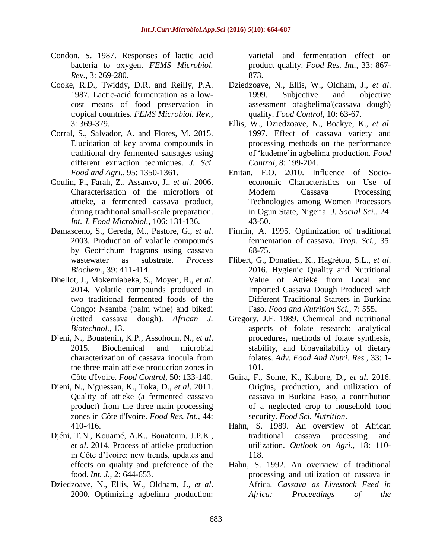- <span id="page-19-16"></span>Condon, S. 1987. Responses of lactic acid bacteria to oxygen. *FEMS Microbiol. Rev.,* 3: 269-280.
- <span id="page-19-17"></span>Cooke, R.D., Twiddy, D.R. and Reilly, P.A. 1987. Lactic-acid fermentation as a lowcost means of food preservation in tropical countries. *FEMS Microbiol. Rev.,* 3: 369-379.
- <span id="page-19-12"></span>Corral, S., Salvador, A. and Flores, M. 2015. Elucidation of key aroma compounds in traditional dry fermented sausages using different extraction techniques. *J. Sci. Food and Agri.,* 95: 1350-1361.
- <span id="page-19-7"></span>Coulin, P., Farah, Z., Assanvo, J., *et al*. 2006. Characterisation of the microflora of attieke, a fermented cassava product, during traditional small-scale preparation. *Int. J. Food Microbiol.,* 106: 131-136.
- <span id="page-19-18"></span><span id="page-19-11"></span>Damasceno, S., Cereda, M., Pastore, G., *et al*. 2003. Production of volatile compounds by Geotrichum fragrans using cassava wastewater as substrate. *Process Biochem.,* 39: 411-414.
- <span id="page-19-13"></span>Dhellot, J., Mokemiabeka, S., Moyen, R., *et al*. 2014. Volatile compounds produced in two traditional fermented foods of the Congo: Nsamba (palm wine) and bikedi (retted cassava dough). *African J. Biotechnol.,* 13.
- <span id="page-19-14"></span>Djeni, N., Bouatenin, K.P., Assohoun, N., *et al*. 2015. Biochemical and microbial characterization of cassava inocula from the three main attieke production zones in Côte d'Ivoire. *Food Control,* 50: 133-140.
- <span id="page-19-5"></span>Djeni, N., N'guessan, K., Toka, D., *et al*. 2011. Quality of attieke (a fermented cassava product) from the three main processing zones in Côte d'Ivoire. *Food Res. Int.,* 44: 410-416.
- <span id="page-19-6"></span>Djéni, T.N., Kouamé, A.K., Bouatenin, J.P.K., *et al*. 2014. Process of attieke production in Côte d'Ivoire: new trends, updates and effects on quality and preference of the food. *Int. J.,* 2: 644-653.
- <span id="page-19-10"></span>Dziedzoave, N., Ellis, W., Oldham, J., *et al*. 2000. Optimizing agbelima production:

<span id="page-19-20"></span>varietal and fermentation effect on product quality. *Food Res. Int.,* 33: 867- 873.

- Dziedzoave, N., Ellis, W., Oldham, J., *et al*. 1999. Subjective and objective assessment ofagbelima'(cassava dough) quality. *Food Control,* 10: 63-67.
- <span id="page-19-9"></span>Ellis, W., Dziedzoave, N., Boakye, K., *et al*. 1997. Effect of cassava variety and processing methods on the performance of ‗kudeme'in agbelima production. *Food Control,* 8: 199-204.
- <span id="page-19-4"></span>Enitan, F.O. 2010. Influence of Socioeconomic Characteristics on Use of Modern Cassava Processing Technologies among Women Processors in Ogun State, Nigeria. *J. Social Sci.,* 24: 43-50.
- <span id="page-19-8"></span>Firmin, A. 1995. Optimization of traditional fermentation of cassava. *Trop. Sci.,* 35: 68-75.
- <span id="page-19-1"></span>Flibert, G., Donatien, K., Hagrétou, S.L., *et al*. 2016. Hygienic Quality and Nutritional Value of Attiéké from Local and Imported Cassava Dough Produced with Different Traditional Starters in Burkina Faso. *Food and Nutrition Sci.,* 7: 555.
- <span id="page-19-19"></span><span id="page-19-15"></span>Gregory, J.F. 1989. Chemical and nutritional aspects of folate research: analytical procedures, methods of folate synthesis, stability, and bioavailability of dietary folates. *Adv. Food And Nutri. Res.,* 33: 1- 101.
- <span id="page-19-0"></span>Guira, F., Some, K., Kabore, D., *et al*. 2016. Origins, production, and utilization of cassava in Burkina Faso, a contribution of a neglected crop to household food security. *Food Sci. Nutrition*.
- <span id="page-19-3"></span>Hahn, S. 1989. An overview of African traditional cassava processing and utilization. *Outlook on Agri.,* 18: 110- 118.
- <span id="page-19-2"></span>Hahn, S. 1992. An overview of traditional processing and utilization of cassava in Africa. *Cassava as Livestock Feed in Africa: Proceedings of the*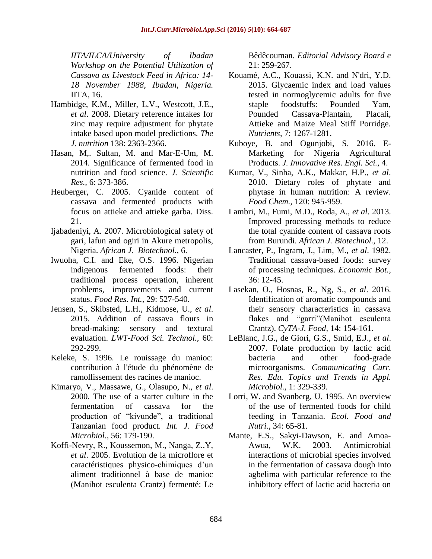*IITA/ILCA/University of Ibadan Workshop on the Potential Utilization of Cassava as Livestock Feed in Africa: 14- 18 November 1988, Ibadan, Nigeria.* IITA, 16.

- <span id="page-20-12"></span>Hambidge, K.M., Miller, L.V., Westcott, J.E., *et al*. 2008. Dietary reference intakes for zinc may require adjustment for phytate intake based upon model predictions. *The J. nutrition* 138: 2363-2366.
- <span id="page-20-11"></span>Hasan, M,. Sultan, M. and Mar-E-Um, M. 2014. Significance of fermented food in nutrition and food science. *J. Scientific Res.,* 6: 373-386.
- <span id="page-20-16"></span>Heuberger, C. 2005. Cyanide content of cassava and fermented products with focus on attieke and attieke garba. Diss. 21.
- <span id="page-20-14"></span>Ijabadeniyi, A. 2007. Microbiological safety of gari, lafun and ogiri in Akure metropolis, Nigeria. *African J. Biotechnol.,* 6.
- <span id="page-20-7"></span>Iwuoha, C.I. and Eke, O.S. 1996. Nigerian indigenous fermented foods: their traditional process operation, inherent problems, improvements and current status. *Food Res. Int.,* 29: 527-540.
- <span id="page-20-6"></span>Jensen, S., Skibsted, L.H., Kidmose, U., *et al*. 2015. Addition of cassava flours in bread-making: sensory and textural evaluation. *LWT-Food Sci. Technol.,* 60: 292-299.
- Keleke, S. 1996. Le rouissage du manioc: contribution à l'étude du phénomène de ramollissement des racines de manioc.
- <span id="page-20-2"></span>Kimaryo, V., Massawe, G., Olasupo, N., *et al*. 2000. The use of a starter culture in the fermentation of cassava for the production of "kivunde", a traditional Tanzanian food product. *Int. J. Food Microbiol.,* 56: 179-190.
- <span id="page-20-8"></span>Koffi-Nevry, R., Koussemon, M., Nanga, Z..Y, *et al*. 2005. Evolution de la microflore et caractéristiques physico-chimiques d'un aliment traditionnel à base de manioc (Manihot esculenta Crantz) fermenté: Le

Bêdêcouman. *Editorial Advisory Board e* 21: 259-267.

- <span id="page-20-4"></span>Kouamé, A.C., Kouassi, K.N. and N'dri, Y.D. 2015. Glycaemic index and load values tested in normoglycemic adults for five staple foodstuffs: Pounded Yam, Pounded Cassava-Plantain, Placali, Attieke and Maize Meal Stiff Porridge. *Nutrients,* 7: 1267-1281.
- <span id="page-20-5"></span>Kuboye, B. and Ogunjobi, S. 2016. E-Marketing for Nigeria Agricultural Products. *J. Innovative Res. Engi. Sci.,* 4.
- <span id="page-20-13"></span>Kumar, V., Sinha, A.K., Makkar, H.P., *et al*. 2010. Dietary roles of phytate and phytase in human nutrition: A review. *Food Chem.,* 120: 945-959.
- <span id="page-20-0"></span>Lambri, M., Fumi, M.D., Roda, A., *et al*. 2013. Improved processing methods to reduce the total cyanide content of cassava roots from Burundi. *African J. Biotechnol.,* 12.
- <span id="page-20-3"></span>Lancaster, P., Ingram, J., Lim, M., *et al*. 1982. Traditional cassava-based foods: survey of processing techniques. *Economic Bot.,* 36: 12-45.
- <span id="page-20-15"></span><span id="page-20-9"></span>Lasekan, O., Hosnas, R., Ng, S., *et al*. 2016. Identification of aromatic compounds and their sensory characteristics in cassava flakes and "garri"(Manihot esculenta Crantz). *CyTA-J. Food,* 14: 154-161.
- <span id="page-20-10"></span>LeBlanc, J.G., de Giori, G.S., Smid, E.J., *et al*. 2007. Folate production by lactic acid bacteria and other food-grade microorganisms. *Communicating Curr. Res. Edu. Topics and Trends in Appl. Microbiol.,* 1: 329-339.
- <span id="page-20-1"></span>Lorri, W. and Svanberg, U. 1995. An overview of the use of fermented foods for child feeding in Tanzania. *Ecol. Food and Nutri.,* 34: 65-81.
- Mante, E.S., Sakyi-Dawson, E. and Amoa-Awua, W.K. 2003. Antimicrobial interactions of microbial species involved in the fermentation of cassava dough into agbelima with particular reference to the inhibitory effect of lactic acid bacteria on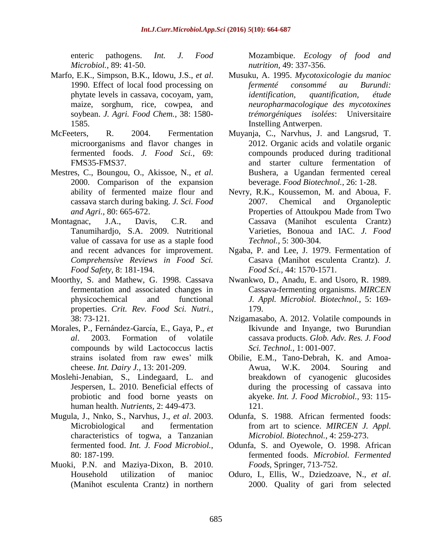enteric pathogens. *Int. J. Food Microbiol.,* 89: 41-50.

- <span id="page-21-13"></span>Marfo, E.K., Simpson, B.K., Idowu, J.S., *et al*. 1990. Effect of local food processing on phytate levels in cassava, cocoyam, yam, maize, sorghum, rice, cowpea, and soybean. *J. Agri. Food Chem.,* 38: 1580- 1585.
- <span id="page-21-16"></span><span id="page-21-9"></span>McFeeters, R. 2004. Fermentation microorganisms and flavor changes in fermented foods. *J. Food Sci.,* 69: FMS35-FMS37.
- <span id="page-21-12"></span>Mestres, C., Boungou, O., Akissoe, N., *et al*. 2000. Comparison of the expansion ability of fermented maize flour and cassava starch during baking. *J. Sci. Food and Agri.,* 80: 665-672.
- <span id="page-21-14"></span>Montagnac, J.A., Davis, C.R. and Tanumihardjo, S.A. 2009. Nutritional value of cassava for use as a staple food and recent advances for improvement. *Comprehensive Reviews in Food Sci. Food Safety,* 8: 181-194.
- Moorthy, S. and Mathew, G. 1998. Cassava fermentation and associated changes in physicochemical and functional properties. *Crit. Rev. Food Sci. Nutri.,* 38: 73-121.
- <span id="page-21-10"></span>Morales, P., Fernández-García, E., Gaya, P., et al. 2003. Formation of volatile Formation of volatile compounds by wild Lactococcus lactis strains isolated from raw ewes' milk cheese. *Int. Dairy J.,* 13: 201-209.
- <span id="page-21-7"></span>Moslehi-Jenabian, S., Lindegaard, L. and Jespersen, L. 2010. Beneficial effects of probiotic and food borne yeasts on human health. *Nutrients,* 2: 449-473.
- <span id="page-21-3"></span>Mugula, J., Nnko, S., Narvhus, J., *et al*. 2003. Microbiological and fermentation characteristics of togwa, a Tanzanian fermented food. *Int. J. Food Microbiol.,* 80: 187-199.
- <span id="page-21-1"></span>Muoki, P.N. and Maziya-Dixon, B. 2010. Household utilization of manioc (Manihot esculenta Crantz) in northern

<span id="page-21-17"></span>Mozambique. *Ecology of food and nutrition,* 49: 337-356.

- Musuku, A. 1995. *Mycotoxicologie du manioc fermenté consommé au Burundi: identification, quantification, étude neuropharmacologique des mycotoxines trémorgéniques isolées*: Universitaire Instelling Antwerpen.
- <span id="page-21-15"></span><span id="page-21-11"></span>Muyanja, C., Narvhus, J. and Langsrud, T. 2012. Organic acids and volatile organic compounds produced during traditional and starter culture fermentation of Bushera, a Ugandan fermented cereal beverage. *Food Biotechnol.,* 26: 1-28.
- <span id="page-21-8"></span>Nevry, R.K., Koussemon, M. and Aboua, F. 2007. Chemical and Organoleptic Properties of Attoukpou Made from Two Cassava (Manihot esculenta Crantz) Varieties, Bonoua and IAC. *J. Food Technol.,* 5: 300-304.
- <span id="page-21-18"></span>Ngaba, P. and Lee, J. 1979. Fermentation of Casava (Manihot esculenta Crantz). *J. Food Sci.,* 44: 1570-1571.
- <span id="page-21-4"></span>Nwankwo, D., Anadu, E. and Usoro, R. 1989. Cassava-fermenting organisms. *MIRCEN J. Appl. Microbiol. Biotechnol.,* 5: 169- 179.
- <span id="page-21-2"></span>Nzigamasabo, A. 2012. Volatile compounds in Ikivunde and Inyange, two Burundian cassava products. *Glob. Adv. Res. J. Food Sci. Technol.,* 1: 001-007.
- Obilie, E.M., Tano-Debrah, K. and Amoa-Awua, W.K. 2004. Souring and breakdown of cyanogenic glucosides during the processing of cassava into akyeke. *Int. J. Food Microbiol.,* 93: 115- 121.
- <span id="page-21-0"></span>Odunfa, S. 1988. African fermented foods: from art to science. *MIRCEN J. Appl. Microbiol. Biotechnol.,* 4: 259-273.
- <span id="page-21-5"></span>Odunfa, S. and Oyewole, O. 1998. African fermented foods. *Microbiol. Fermented Foods,* Springer, 713-752.
- <span id="page-21-6"></span>Oduro, I., Ellis, W., Dziedzoave, N., *et al*. 2000. Quality of gari from selected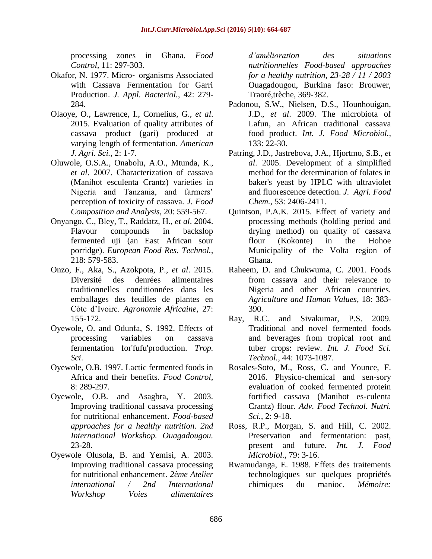<span id="page-22-14"></span>processing zones in Ghana. *Food Control,* 11: 297-303.

- Okafor, N. 1977. Micro‐ organisms Associated with Cassava Fermentation for Garri Production. *J. Appl. Bacteriol.,* 42: 279- 284.
- <span id="page-22-6"></span>Olaoye, O., Lawrence, I., Cornelius, G., *et al*. 2015. Evaluation of quality attributes of cassava product (gari) produced at varying length of fermentation. *American J. Agri. Sci.,* 2: 1-7.
- <span id="page-22-7"></span>Oluwole, O.S.A., Onabolu, A.O., Mtunda, K., *et al*. 2007. Characterization of cassava (Manihot esculenta Crantz) varieties in Nigeria and Tanzania, and farmers' perception of toxicity of cassava. *J. Food Composition and Analysis,* 20: 559-567.
- <span id="page-22-11"></span>Onyango, C., Bley, T., Raddatz, H., *et al*. 2004. Flavour compounds in backslop fermented uji (an East African sour porridge). *European Food Res. Technol.,*  218: 579-583.
- <span id="page-22-8"></span>Onzo, F., Aka, S., Azokpota, P., *et al*. 2015. Diversité des denrées alimentaires traditionnelles conditionnées dans les emballages des feuilles de plantes en Côte d'Ivoire. *Agronomie Africaine,* 27: 155-172.
- <span id="page-22-0"></span>Oyewole, O. and Odunfa, S. 1992. Effects of processing variables on cassava fermentation for'fufu'production. *Trop. Sci*.
- <span id="page-22-3"></span>Oyewole, O.B. 1997. Lactic fermented foods in Africa and their benefits. *Food Control,* 8: 289-297.
- <span id="page-22-5"></span>Oyewole, O.B. and Asagbra, Y. 2003. Improving traditional cassava processing for nutritional enhancement. *Food-based approaches for a healthy nutrition. 2nd International Workshop. Ouagadougou.* 23-28.
- <span id="page-22-2"></span>Oyewole Olusola, B. and Yemisi, A. 2003. Improving traditional cassava processing for nutritional enhancement. *2ème Atelier international / 2nd International Workshop Voies alimentaires*

<span id="page-22-15"></span>*d'amélioration des situations nutritionnelles Food-based approaches for a healthy nutrition, 23-28 / 11 / 2003*  Ouagadougou, Burkina faso: Brouwer, Traoré,trèche, 369-382.

- Padonou, S.W., Nielsen, D.S., Hounhouigan, J.D., *et al*. 2009. The microbiota of Lafun, an African traditional cassava food product. *Int. J. Food Microbiol.,* 133: 22-30.
- <span id="page-22-12"></span>Patring, J.D., Jastrebova, J.A., Hjortmo, S.B., *et al*. 2005. Development of a simplified method for the determination of folates in baker's yeast by HPLC with ultraviolet and fluorescence detection. *J. Agri. Food Chem.,* 53: 2406-2411.
- <span id="page-22-9"></span>Quintson, P.A.K. 2015. Effect of variety and processing methods (holding period and drying method) on quality of cassava flour (Kokonte) in the Hohoe Municipality of the Volta region of Ghana.
- <span id="page-22-4"></span>Raheem, D. and Chukwuma, C. 2001. Foods from cassava and their relevance to Nigeria and other African countries. *Agriculture and Human Values*, 18: 383- 390.
- <span id="page-22-16"></span><span id="page-22-1"></span>Ray, R.C. and Sivakumar, P.S. 2009. Traditional and novel fermented foods and beverages from tropical root and tuber crops: review. *Int. J. Food Sci. Technol.,* 44: 1073-1087.
- <span id="page-22-10"></span>Rosales-Soto, M., Ross, C. and Younce, F. 2016. Physico-chemical and sen-sory evaluation of cooked fermented protein fortified cassava (Manihot es-culenta Crantz) flour. *Adv. Food Technol. Nutri. Sci.,* 2: 9-18.
- <span id="page-22-13"></span>Ross, R.P., Morgan, S. and Hill, C. 2002. Preservation and fermentation: past, present and future. *Int. J. Food Microbiol.,* 79: 3-16.
- Rwamudanga, E. 1988. Effets des traitements technologiques sur quelques propriétés chimiques du manioc. *Mémoire:*